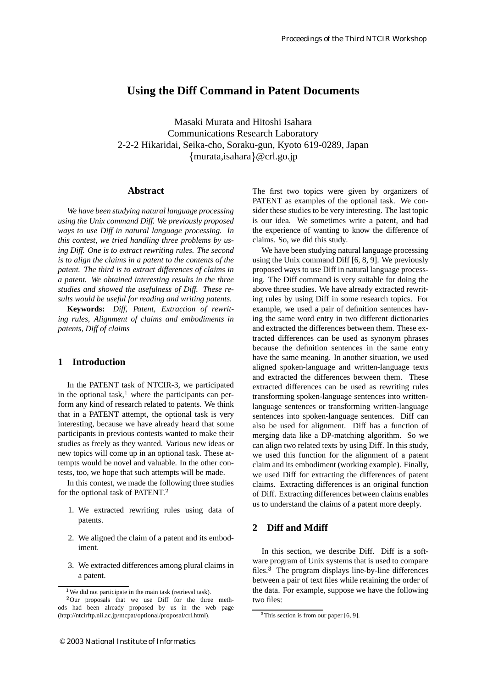# **Using the Diff Command in Patent Documents**

Masaki Murata and Hitoshi Isahara Communications Research Laboratory 2-2-2 Hikaridai, Seika-cho, Soraku-gun, Kyoto 619-0289, Japan {murata,isahara}@crl.go.jp

#### **Abstract**

*We have been studying natural language processing using the Unix command Diff. We previously proposed ways to use Diff in natural language processing. In this contest, we tried handling three problems by using Diff. One is to extract rewriting rules. The second is to align the claims in a patent to the contents of the patent. The third is to extract differences of claims in a patent. We obtained interesting results in the three studies and showed the usefulness of Diff. These results would be useful for reading and writing patents.*

**Keywords:** *Diff, Patent, Extraction of rewriting rules, Alignment of claims and embodiments in patents, Diff of claims*

## **1 Introduction**

In the PATENT task of NTCIR-3, we participated in the optional task, $<sup>1</sup>$  where the participants can per-</sup> form any kind of research related to patents. We think that in a PATENT attempt, the optional task is very interesting, because we have already heard that some participants in previous contests wanted to make their studies as freely as they wanted. Various new ideas or new topics will come up in an optional task. These attempts would be novel and valuable. In the other contests, too, we hope that such attempts will be made.

In this contest, we made the following three studies for the optional task of PATENT.

- 1. We extracted rewriting rules using data of patents.
- 2. We aligned the claim of a patent and its embodiment.
- 3. We extracted differences among plural claims in a patent.

The first two topics were given by organizers of PATENT as examples of the optional task. We consider these studies to be very interesting. The last topic is our idea. We sometimes write a patent, and had the experience of wanting to know the difference of claims. So, we did this study.

We have been studying natural language processing using the Unix command Diff [6, 8, 9]. We previously proposed ways to use Diff in natural language processing. The Diff command is very suitable for doing the above three studies. We have already extracted rewriting rules by using Diff in some research topics. For example, we used a pair of definition sentences having the same word entry in two different dictionaries and extracted the differences between them. These extracted differences can be used as synonym phrases because the definition sentences in the same entry have the same meaning. In another situation, we used aligned spoken-language and written-language texts and extracted the differences between them. These extracted differences can be used as rewriting rules transforming spoken-language sentences into writtenlanguage sentences or transforming written-language sentences into spoken-language sentences. Diff can also be used for alignment. Diff has a function of merging data like a DP-matching algorithm. So we can align two related texts by using Diff. In this study, we used this function for the alignment of a patent claim and its embodiment (working example). Finally, we used Diff for extracting the differences of patent claims. Extracting differences is an original function of Diff. Extracting differences between claims enables us to understand the claims of a patent more deeply.

# **2 Diff and Mdiff**

In this section, we describe Diff. Diff is a software program of Unix systems that is used to compare files. $3$  The program displays line-by-line differences between a pair of text files while retaining the order of the data. For example, suppose we have the following two files:

<sup>&</sup>lt;sup>1</sup>We did not participate in the main task (retrieval task).

 $2$ Our proposals that we use Diff for the three methods had been already proposed by us in the web page (http://ntcirftp.nii.ac.jp/ntcpat/optional/proposal/crl.html).

<sup>&</sup>lt;sup>3</sup>This section is from our paper [6, 9].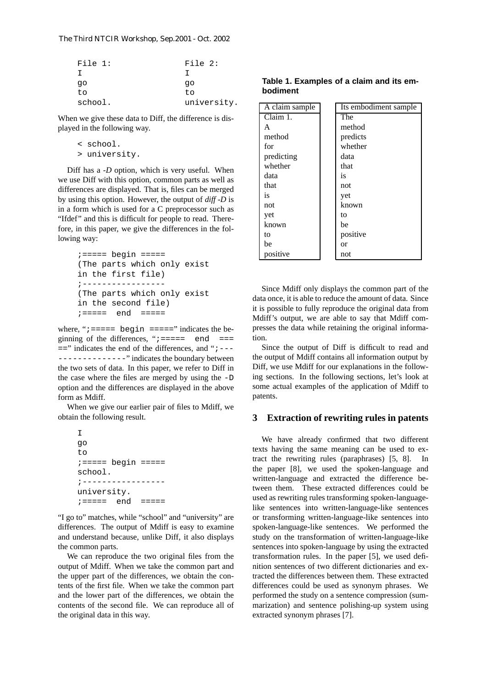| File $1:$ | File 2:     |
|-----------|-------------|
| T         |             |
| qo        | qo          |
| to        | tο          |
| school.   | university. |

When we give these data to Diff, the difference is displayed in the following way.

> < school. > university.

Diff has a *-D* option, which is very useful. When we use Diff with this option, common parts as well as differences are displayed. That is, files can be merged by using this option. However, the output of *diff -D* is in a form which is used for a C preprocessor such as "Ifdef" and this is difficult for people to read. Therefore, in this paper, we give the differences in the following way:

```
i == == == begin == == ==(The parts which only exist
in the first file)
;-----------------
(The parts which only exist
in the second file)
;===== end =====
```
where, " $i == ==$  begin  $== ==$ " indicates the beginning of the differences, " $i == == ==$  end  $== ==$  $=$  =  $\frac{1}{2}$  indicates the end of the differences, and " $\frac{1}{2}$  - ---------------" indicates the boundary between the two sets of data. In this paper, we refer to Diff in the case where the files are merged by using the -D option and the differences are displayed in the above form as Mdiff.

When we give our earlier pair of files to Mdiff, we obtain the following result.

| Т                       |  |
|-------------------------|--|
| qo                      |  |
| to                      |  |
| $i == ==$ begin $== ==$ |  |
| school.                 |  |
|                         |  |
| university.             |  |
| $i == == ==$ end        |  |

"I go to" matches, while "school" and "university" are differences. The output of Mdiff is easy to examine and understand because, unlike Diff, it also displays the common parts.

We can reproduce the two original files from the output of Mdiff. When we take the common part and the upper part of the differences, we obtain the contents of the first file. When we take the common part and the lower part of the differences, we obtain the contents of the second file. We can reproduce all of the original data in this way.

| A claim sample | Its embodiment sample |
|----------------|-----------------------|
| Claim 1.       | The                   |
| A              | method                |
| method         | predicts              |
| for            | whether               |
| predicting     | data                  |
| whether        | that                  |
| data           | is                    |
| that           | not                   |
| is             | yet                   |
| not            | known                 |
| yet            | to                    |
| known          | be                    |
| to             | positive              |
| be             | or                    |
| positive       | not                   |

Since Mdiff only displays the common part of the data once, it is able to reduce the amount of data. Since it is possible to fully reproduce the original data from Mdiff's output, we are able to say that Mdiff compresses the data while retaining the original information.

Since the output of Diff is difficult to read and the output of Mdiff contains all information output by Diff, we use Mdiff for our explanations in the following sections. In the following sections, let's look at some actual examples of the application of Mdiff to patents.

#### **3 Extraction of rewriting rules in patents**

We have already confirmed that two different texts having the same meaning can be used to extract the rewriting rules (paraphrases) [5, 8]. In the paper [8], we used the spoken-language and written-language and extracted the difference between them. These extracted differences could be used as rewriting rules transforming spoken-languagelike sentences into written-language-like sentences or transforming written-language-like sentences into spoken-language-like sentences. We performed the study on the transformation of written-language-like sentences into spoken-language by using the extracted transformation rules. In the paper [5], we used definition sentences of two different dictionaries and extracted the differences between them. These extracted differences could be used as synonym phrases. We performed the study on a sentence compression (summarization) and sentence polishing-up system using extracted synonym phrases [7].

**Table 1. Examples of a claim and its embodiment**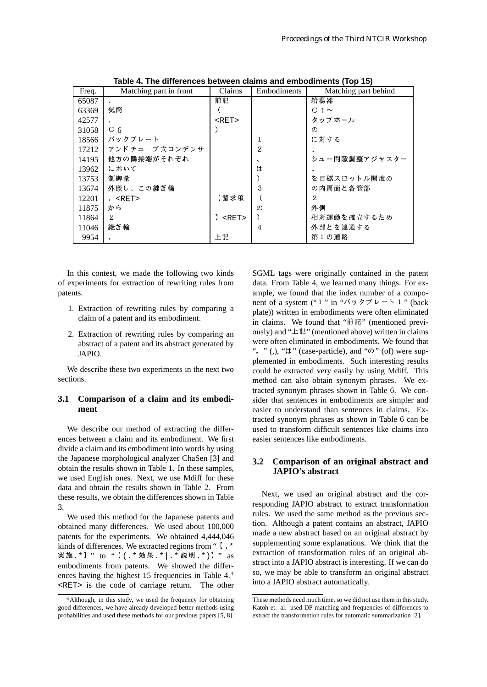| Freq. | Matching part in front | Claims   | Embodiments | Matching part behind  |
|-------|------------------------|----------|-------------|-----------------------|
| 65087 |                        | 前記       |             | 給湯器                   |
| 63369 | 気筒                     |          |             | C 1 $\sim$            |
| 42577 |                        | $<$ RET> |             | タップホール                |
| 31058 | $C_{6}$                |          |             | $\sigma$              |
| 18566 | バックプレート                |          |             | に対する                  |
| 17212 | アンドチューブ 式コンデンサ         |          | 2           |                       |
| 14195 | 他方の隣接端がそれぞれ            |          | $\cdot$     | シュー間隙調整アジャスター         |
| 13962 | において                   |          | は           |                       |
| 13753 | 制御量                    |          |             | を 目 標 ス ロ ッ ト ル 開 度 の |
| 13674 | 外嵌し、この継ぎ輪              |          | 3           | の内周面と各管部              |
| 12201 | $\epsilon$ < RET >     | 【請求項     |             | 2                     |
| 11875 | から                     |          | $\sigma$    | 外側                    |
| 11864 | $\mathbf{2}^{\prime}$  | 1<br>RET |             | 相対運動を確立するため           |
| 11046 | 継ぎ輪                    |          | 4           | 外部とを連通する              |
| 9954  |                        | 上記       |             | 第1の通路                 |

**Table 4. The differences between claims and embodiments (Top 15)**

In this contest, we made the following two kinds of experiments for extraction of rewriting rules from patents.

- 1. Extraction of rewriting rules by comparing a claim of a patent and its embodiment.
- 2. Extraction of rewriting rules by comparing an abstract of a patent and its abstract generated by JAPIO.

We describe these two experiments in the next two sections.

#### **3.1 Comparison of a claim and its embodiment**

We describe our method of extracting the differences between a claim and its embodiment. We first divide a claim and its embodiment into words by using the Japanese morphological analyzer ChaSen [3] and obtain the results shown in Table 1. In these samples, we used English ones. Next, we use Mdiff for these data and obtain the results shown in Table 2. From these results, we obtain the differences shown in Table 3.

We used this method for the Japanese patents and obtained many differences. We used about 100,000 patents for the experiments. We obtained 4,444,046 kinds of differences. We extracted regions from "  $\mathfrak{l}$  . \* 実施 . \* 】'' to ''【(. \* 効果 . \* | . \* 説明 . \* ) 】'' as embodiments from patents. We showed the differences having the highest 15 frequencies in Table 4.<sup>4</sup> <RET> is the code of carriage return. The other

SGML tags were originally contained in the patent data. From Table 4, we learned many things. For example, we found that the index number of a component of a system ("1" in " $\mathcal{N} \vee \mathcal{N} \vee \neg h$  1" (back plate)) written in embodiments were often eliminated in claims. We found that "前記" (mentioned previously) and "上記" (mentioned above) written in claims were often eliminated in embodiments. We found that ", " (,), " $\sharp$ " (case-particle), and " $\mathcal{D}$ " (of) were supplemented in embodiments. Such interesting results could be extracted very easily by using Mdiff. This method can also obtain synonym phrases. We extracted synonym phrases shown in Table 6. We consider that sentences in embodiments are simpler and easier to understand than sentences in claims. Extracted synonym phrases as shown in Table 6 can be used to transform difficult sentences like claims into easier sentences like embodiments.

## **3.2 Comparison of an original abstract and JAPIO's abstract**

Next, we used an original abstract and the corresponding JAPIO abstract to extract transformation rules. We used the same method as the previous section. Although a patent contains an abstract, JAPIO made a new abstract based on an original abstract by supplementing some explanations. We think that the extraction of transformation rules of an original abstract into a JAPIO abstract is interesting. If we can do so, we may be able to transform an original abstract into a JAPIO abstract automatically.

<sup>&</sup>lt;sup>4</sup>Although, in this study, we used the frequency for obtaining good differences, we have already developed better methods using probabilities and used these methods for our previous papers [5, 8].

These methods need much time, so we did not use them in this study. Katoh et. al. used DP matching and frequencies of differences to extract the transformation rules for automatic summarization [2].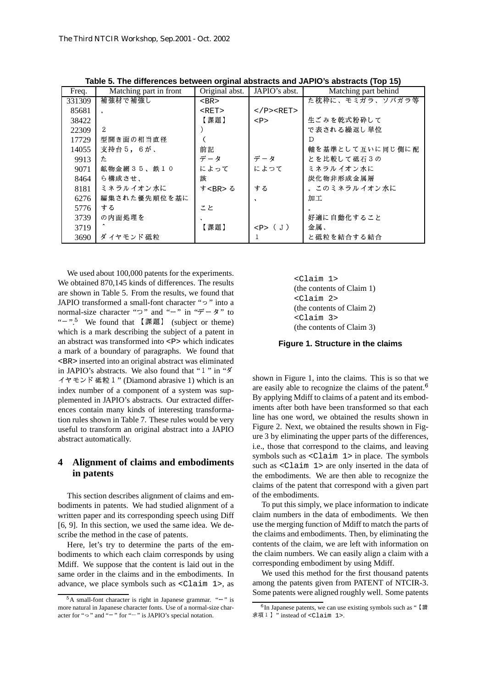| Freq.  | Matching part in front | Original abst. | JAPIO's abst.             | Matching part behind |
|--------|------------------------|----------------|---------------------------|----------------------|
| 331309 | 補強材で補強し                | $<$ BR $>$     |                           | た枕枠に、モミガラ、ソバガラ等      |
| 85681  | $\circ$                | RET            | $<$ /P> $<$ RET>          |                      |
| 38422  |                        | 【課題】           | $<\mathbb{P}>$            | 生ごみを乾式粉砕して           |
| 22309  | 2                      |                |                           | で表される繰返し単位           |
| 17729  | 型開き面の相当直径              |                |                           | D                    |
| 14055  | 支持台 5, 6が、             | 前記             |                           | 軸を基準として互いに同じ側に配      |
| 9913   | た                      | データ            | データ                       | とを比較して砥石3の           |
| 9071   | 鉱物金網35、鉄10             | によって           | によつて                      | ミネラルイオン水に            |
| 8464   | ら構成させ、                 | 該              |                           | 炭化物非形成金属層            |
| 8181   | ミ ネラル イオン 水に           | す<br>る         | する                        | 。 このミネラル イオン水に       |
| 6276   | 編集された優先順位を基に           |                | $\lambda$                 | 加工                   |
| 5776   | する                     | こと             |                           |                      |
| 3739   | の内面処理を                 |                |                           | 好適に自動化すること           |
| 3719   |                        | 【課題】           | $\langle P \rangle$ ( J ) | 金属、                  |
| 3690   | ダ イヤモンド 砥粒             |                |                           | と砥粒を結合する結合           |

Table 5. The differences between orginal abstracts and JAPIO's abstracts (Top 15)

We used about 100,000 patents for the experiments. We obtained 870,145 kinds of differences. The results are shown in Table 5. From the results, we found that JAPIO transformed a small-font character "2" into a normal-size character " $\supset$ " and " $-$ " in " $\overrightarrow{r} - \overrightarrow{r}$ " to "-".<sup>5</sup> We found that 【課題】 (subject or theme) which is a mark describing the subject of a patent in an abstract was transformed into <P> which indicates a mark of a boundary of paragraphs. We found that <BR> inserted into an original abstract was eliminated in JAPIO's abstracts. We also found that "1" in " $\check{\mathcal{A}}$ " イヤモンド 砥粒 1 " (Diamond abrasive 1) which is an index number of a component of a system was supplemented in JAPIO's abstracts. Our extracted differences contain many kinds of interesting transformation rules shown in Table 7. These rules would be very useful to transform an original abstract into a JAPIO abstract automatically.

#### $\overline{\mathbf{4}}$ Alignment of claims and embodiments in patents

This section describes alignment of claims and embodiments in patents. We had studied alignment of a written paper and its corresponding speech using Diff [6, 9]. In this section, we used the same idea. We describe the method in the case of patents.

Here, let's try to determine the parts of the embodiments to which each claim corresponds by using Mdiff. We suppose that the content is laid out in the same order in the claims and in the embodiments. In advance, we place symbols such as <Claim 1>, as

<Claim 1> (the contents of Claim 1) <Claim 2> (the contents of Claim 2) <Claim 3> (the contents of Claim 3)

#### Figure 1. Structure in the claims

shown in Figure 1, into the claims. This is so that we are easily able to recognize the claims of the patent.<sup>6</sup> By applying Mdiff to claims of a patent and its embodiments after both have been transformed so that each line has one word, we obtained the results shown in Figure 2. Next, we obtained the results shown in Figure 3 by eliminating the upper parts of the differences, i.e., those that correspond to the claims, and leaving symbols such as  $\langle$ Claim 1> in place. The symbols such as <Claim 1> are only inserted in the data of the embodiments. We are then able to recognize the claims of the patent that correspond with a given part of the embodiments.

To put this simply, we place information to indicate claim numbers in the data of embodiments. We then use the merging function of Mdiff to match the parts of the claims and embodiments. Then, by eliminating the contents of the claim, we are left with information on the claim numbers. We can easily align a claim with a corresponding embodiment by using Mdiff.

We used this method for the first thousand patents among the patents given from PATENT of NTCIR-3. Some patents were aligned roughly well. Some patents

 $5A$  small-font character is right in Japanese grammar. " $-$ " is more natural in Japanese character fonts. Use of a normal-size character for "2" and "-" for "-" is JAPIO's special notation.

 $6$ In Japanese patents, we can use existing symbols such as " [請 求項1] "instead of <Claim 1>.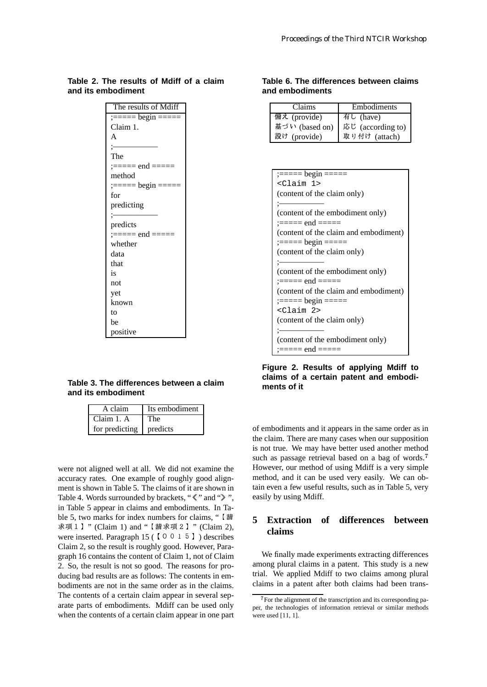# **Table 2. The results of Mdiff of a claim and its embodiment**

| The results of Mdiff                                          |
|---------------------------------------------------------------|
| $\frac{1}{1} = \frac{1}{1}$ begin $\frac{1}{1} = \frac{1}{1}$ |
| Claim 1.                                                      |
| A                                                             |
| $\mathrel{\mathop:}=$                                         |
| The                                                           |
| :===== end =====                                              |
| method                                                        |
| $:= == = begin == ==$                                         |
| for                                                           |
| predicting                                                    |
| $=$                                                           |
| predicts                                                      |
| :===== end =====                                              |
| whether                                                       |
| data                                                          |
| that                                                          |
| is                                                            |
| not                                                           |
| yet                                                           |
| known                                                         |
| to                                                            |
| be                                                            |
| positive                                                      |

## **Table 3. The differences between a claim and its embodiment**

| A claim        | Its embodiment |
|----------------|----------------|
| Claim 1. A     | The            |
| for predicting | predicts       |

were not aligned well at all. We did not examine the accuracy rates. One example of roughly good alignment is shown in Table 5. The claims of it are shown in Table 4. Words surrounded by brackets, " $\ll$ " and " $\gg$ ", eas in Table 5 appear in claims and embodiments. In Table 5, two marks for index numbers for claims, "  $\left[\frac{3\pi}{2}\right]$  5 求項1】" (Claim 1) and "【請求項2】" (Claim 2), were inserted. Paragraph 15 ( $\lceil 0 \ 0 \ 1 \ 5 \rceil$ ) describes Claim 2, so the result is roughly good. However, Paragraph 16 contains the content of Claim 1, not of Claim 2. So, the result is not so good. The reasons for producing bad results are as follows: The contents in embodiments are not in the same order as in the claims. The contents of a certain claim appear in several separate parts of embodiments. Mdiff can be used only when the contents of a certain claim appear in one part

## **Table 6. The differences between claims and embodiments**

| Claims         | Embodiments       |
|----------------|-------------------|
| 備え (provide)   | 有し (have)         |
| 基づい (based on) | 応じ (according to) |
| 設け (provide)   | 取り付け (attach)     |

| <claim 1=""></claim>                  |
|---------------------------------------|
| (content of the claim only)           |
|                                       |
| (content of the embodiment only)      |
| :===== end =====                      |
| (content of the claim and embodiment) |
| $:= == =$ begin $== ==$               |
| (content of the claim only)           |
|                                       |
| (content of the embodiment only)      |
| :===== end =====                      |
| (content of the claim and embodiment) |
| $:=-=-\text{begin}$ =====             |
| <claim 2=""></claim>                  |
| (content of the claim only)           |
|                                       |
| (content of the embodiment only)      |
| :===== end =====                      |

**Figure 2. Results of applying Mdiff to claims of a certain patent and embodiments of it**

of embodiments and it appears in the same order as in the claim. There are many cases when our supposition is not true. We may have better used another method such as passage retrieval based on a bag of words.<sup>7</sup> However, our method of using Mdiff is a very simple method, and it can be used very easily. We can obtain even a few useful results, such as in Table 5, very easily by using Mdiff.

# **5 Extraction of differences between claims**

We finally made experiments extracting differences among plural claims in a patent. This study is a new trial. We applied Mdiff to two claims among plural claims in a patent after both claims had been trans-

For the alignment of the transcription and its corresponding paper, the technologies of information retrieval or similar methods were used [11, 1].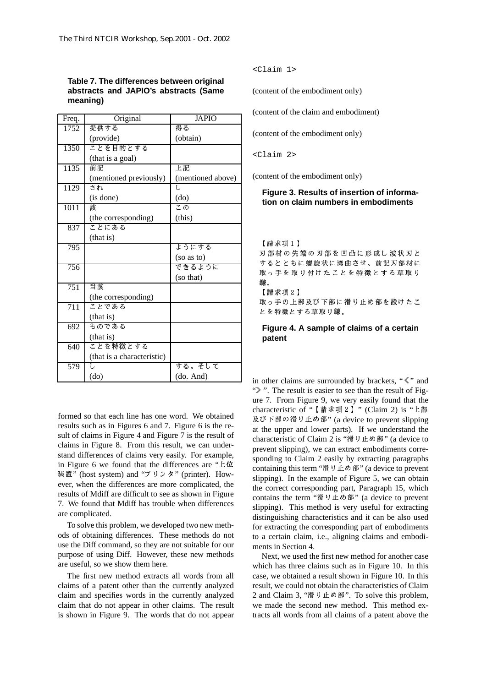#### **Table 7. The differences between original abstracts and JAPIO's abstracts (Same meaning)**

| Freq.            | Original                   | <b>JAPIO</b>      |          |
|------------------|----------------------------|-------------------|----------|
| 1752             | 提供する                       | 得る                | $($ col  |
|                  | (provide)                  | (obtain)          |          |
| 1350             | ことを目的とする                   |                   |          |
|                  | (that is a goal)           |                   | $<$ C    |
| 1135             | 請請                         | 上記                |          |
|                  | (mentioned previously)     | (mentioned above) | $($ con  |
| 1129             | され                         | Ì,                | I        |
|                  | (is done)                  | (do)              | t        |
| 1011             | 該                          | この                |          |
|                  | (the corresponding)        | (this)            |          |
| 837              | ことにある                      |                   |          |
|                  | (that is)                  |                   | I        |
| 795              |                            | ようにする             | λ        |
|                  |                            | (so as to)        | す        |
| 756              |                            | できるように            | 耶        |
|                  |                            | (so that)         | 銂        |
| $\overline{751}$ | 当該                         |                   | I        |
|                  | (the corresponding)        |                   | 耶        |
| $\overline{711}$ | ことである                      |                   | と        |
|                  | (that is)                  |                   |          |
| 692              | ものである                      |                   | ľ        |
|                  | (that is)                  |                   | ľ        |
| 640              | ことを特徴とする                   |                   |          |
|                  | (that is a characteristic) |                   |          |
| $\overline{579}$ | ī,                         | する。そして            |          |
|                  | $\rm (do)$                 | (do. And)         | $\sin c$ |

formed so that each line has one word. We obtained results such as in Figures 6 and 7. Figure 6 is the result of claims in Figure 4 and Figure 7 is the result of claims in Figure 8. From this result, we can understand differences of claims very easily. For example, in Figure 6 we found that the differences are " $\pm \alpha$ " 装置" (host system) and "プリンタ" (printer). However, when the differences are more complicated, the results of Mdiff are difficult to see as shown in Figure 7. We found that Mdiff has trouble when differences are complicated.

To solve this problem, we developed two new methods of obtaining differences. These methods do not use the Diff command, so they are not suitable for our purpose of using Diff. However, these new methods are useful, so we show them here.

The first new method extracts all words from all claims of a patent other than the currently analyzed claim and specifies words in the currently analyzed claim that do not appear in other claims. The result is shown in Figure 9. The words that do not appear <Claim 1>

(content of the embodiment only)

(content of the claim and embodiment)

(content of the embodiment only)

<Claim 2>

(content of the embodiment only)

#### **Figure 3. Results of insertion of information on claim numbers in embodiments**

【請求項1】

刃 部 材 の 先 端 の 刃 部 を 凹 凸 に 形 成 し 波 状 刃 と するとともに 螺 旋状に 湾曲 させ、 前記 刃 部 材 に 取っ手を取り付けたことを特徴とする草取り 鎌.

【請求項2】

取っ手の上部及び下部に滑り止め部を設けたこ とを特徴とする草取り鎌。

#### **Figure 4. A sample of claims of a certain patent**

in other claims are surrounded by brackets, " $\ll$ " and ">". The result is easier to see than the result of Figure 7. From Figure 9, we very easily found that the characteristic of " 【請求項2 】" (Claim 2) is "上部 及び下部の滑り止め部" (a device to prevent slipping at the upper and lower parts). If we understand the characteristic of Claim 2 is "滑り止め部" (a device to prevent slipping), we can extract embodiments corresponding to Claim 2 easily by extracting paragraphs containing this term "滑り止め部" (a device to prevent slipping). In the example of Figure 5, we can obtain the correct corresponding part, Paragraph 15, which contains the term "滑り止め部" (a device to prevent slipping). This method is very useful for extracting distinguishing characteristics and it can be also used for extracting the corresponding part of embodiments to a certain claim, i.e., aligning claims and embodiments in Section 4.

Next, we used the first new method for another case which has three claims such as in Figure 10. In this case, we obtained a result shown in Figure 10. In this result, we could not obtain the characteristics of Claim 2 and Claim 3, "滑り止め部". To solve this problem, we made the second new method. This method extracts all words from all claims of a patent above the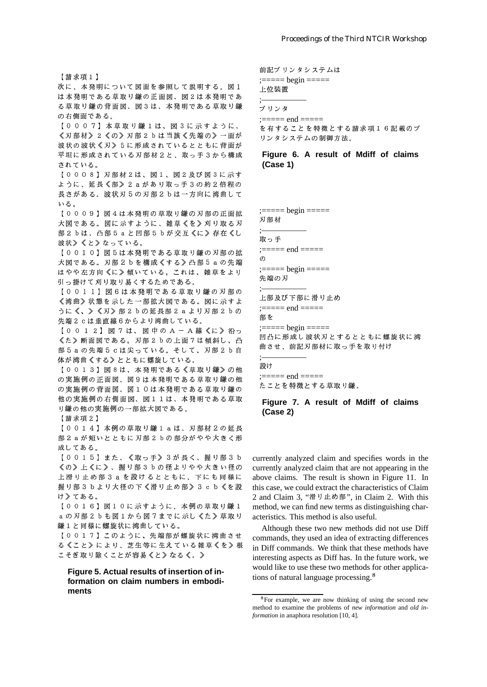次に、本発明について図面を参照して説明する。図1 は本発明である草取り鎌の正面図、図2は本発明であ る草取り鎌の背面図、図3は、本発明である草取り鎌 の右側面である。

【0007】本草取り鎌1は、図3に示すように、 《刃部材》2《の》刃部2bは当該《先端の》一面が 波状の波状《刃》5に形成されているとともに背面が 平坦に形成されている刃部材2と、取っ手3から構成 されている。

【0008】刃部材2は、図1、図2及び図3に示す ように、延長《部》2 a があり取っ手3の約2倍程の 長さがある。波状刃5の刃部2bは一方向に湾曲して いる。

【0009】図4は本発明の草取り鎌の刃部の正面拡 大図である。図に示すように、雑草《を》刈り取る刃 部 2 b は、 凸部 5 a と 凹 部 5 b が 交 互 《に 》 存 在 《し 波状》《と》なっている。

【0010】図5は本発明である草取り鎌の刃部の拡 大図である。刃部2bを構成《する》凸部5aの先端 はやや左方向《に》傾いている。これは、雑草をより 引っ掛けて刈り取り易くするためである。

【0011】図6は本発明である草取り鎌の刃部の 《湾曲》状態を示した一部拡大図である。図に示すよ うに《、》《刃》部2bの延長部2aより刃部2bの 先端2cは垂直線6からより湾曲している。

【0012】図7は、図中のA-A線《に》沿っ 《た》断面図である。刃部2bの上面7は傾斜し、凸 部5aの先端5cは尖っている。そして、刃部2b自 体が湾曲《する》とともに螺旋している。

【0013】図8は、本発明である《草取り鎌》の他 の実施例の正面図、図9は本発明である草取り鎌の他 の実施例の背面図、図10は本発明である草取り鎌の 他の実施例の右側面図、図11は、本発明である草取 り鎌の他の実施例の一部拡大図である。

【請求項2】

【0014】本例の草取り鎌1aは、刃部材2の延長 部 2 a が 短 い と と も に 刃 部 2 b の 部 分 が や や 大 き く 形 成してある。

【0015】また、《取っ手》3が長く、握り部3b 《の》上《に》、握り部3bの径よりやや大きい径の 上滑り止め部3aを設けるとともに、下にも同様に 握り部3bより大径の下《滑り止め部》3cb《を設 け》てある。

【0016】図10に示すように、本例の草取り鎌1 a の刃部2 b も図1 から図7 までに示し《た》草取り 鎌1と同様に螺旋状に湾曲している。

【0017】このように、先端部が螺旋状に湾曲させ る《こと》により、芝生等に生えている雑草《を》根 こそぎ取り除くことが容易《と》なる《。》

Figure 5. Actual results of insertion of information on claim numbers in embodiments

前記プリンタシステムは

 $:====$  begin  $====$ 

上位装置

プリンタ

 $:===$  end  $== ==$ を有することを特徴とする請求項16記載のプ リンタシステムの制御方法。

#### Figure 6. A result of Mdiff of claims  $(Case 1)$

 $: == ==$  begin  $== ==$ 

刃部材

取っ手  $:====$  end  $====$  $\sigma$ 

先端の刃

上部及び下部に滑り止め

 $:=-=-$  end  $==-$ 

部を

凹凸に形成し波状刃とするとともに螺旋状に湾 曲させ、前記刃部材に取っ手を取り付け

#### 設け

 $\frac{1}{1} = \frac{1}{1}$  and  $\frac{1}{1} = \frac{1}{1}$ たことを特徴とする草取り鎌。

#### Figure 7. A result of Mdiff of claims  $(Case 2)$

currently analyzed claim and specifies words in the currently analyzed claim that are not appearing in the above claims. The result is shown in Figure 11. In this case, we could extract the characteristics of Claim 2 and Claim 3, "滑り止め部", in Claim 2. With this method, we can find new terms as distinguishing characteristics. This method is also useful.

Although these two new methods did not use Diff commands, they used an idea of extracting differences in Diff commands. We think that these methods have interesting aspects as Diff has. In the future work, we would like to use these two methods for other applications of natural language processing.<sup>8</sup>

 ${}^{8}$ For example, we are now thinking of using the second new method to examine the problems of new information and old information in anaphora resolution [10, 4].